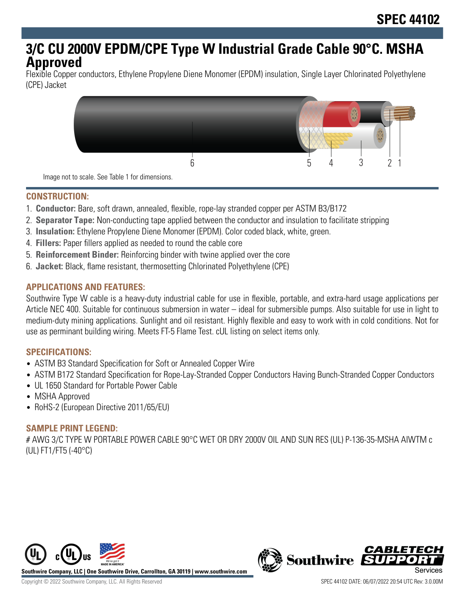# **3/C CU 2000V EPDM/CPE Type W Industrial Grade Cable 90°C. MSHA Approved**

Flexible Copper conductors, Ethylene Propylene Diene Monomer (EPDM) insulation, Single Layer Chlorinated Polyethylene (CPE) Jacket



Image not to scale. See Table 1 for dimensions.

## **CONSTRUCTION:**

- 1. **Conductor:** Bare, soft drawn, annealed, flexible, rope-lay stranded copper per ASTM B3/B172
- 2. **Separator Tape:** Non-conducting tape applied between the conductor and insulation to facilitate stripping
- 3. **Insulation:** Ethylene Propylene Diene Monomer (EPDM). Color coded black, white, green.
- 4. **Fillers:** Paper fillers applied as needed to round the cable core
- 5. **Reinforcement Binder:** Reinforcing binder with twine applied over the core
- 6. **Jacket:** Black, flame resistant, thermosetting Chlorinated Polyethylene (CPE)

## **APPLICATIONS AND FEATURES:**

Southwire Type W cable is a heavy-duty industrial cable for use in flexible, portable, and extra-hard usage applications per Article NEC 400. Suitable for continuous submersion in water – ideal for submersible pumps. Also suitable for use in light to medium-duty mining applications. Sunlight and oil resistant. Highly flexible and easy to work with in cold conditions. Not for use as perminant building wiring. Meets FT-5 Flame Test. cUL listing on select items only.

#### **SPECIFICATIONS:**

- ASTM B3 Standard Specification for Soft or Annealed Copper Wire
- ASTM B172 Standard Specification for Rope-Lay-Stranded Copper Conductors Having Bunch-Stranded Copper Conductors
- UL 1650 Standard for Portable Power Cable
- MSHA Approved
- RoHS-2 (European Directive 2011/65/EU)

# **SAMPLE PRINT LEGEND:**

# AWG 3/C TYPE W PORTABLE POWER CABLE 90°C WET OR DRY 2000V OIL AND SUN RES (UL) P-136-35-MSHA AIWTM c (UL) FT1/FT5 (-40°C)